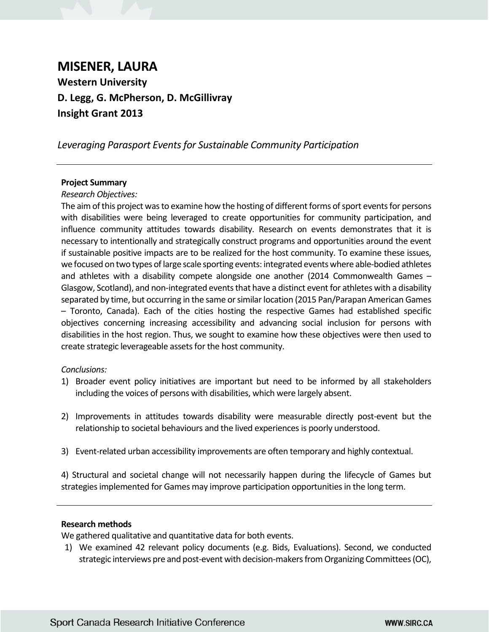# **MISENER, LAURA Western University D. Legg, G. McPherson, D. McGillivray Insight Grant 2013**

*Leveraging Parasport Events for Sustainable Community Participation*

## **Project Summary**

### *Research Objectives:*

The aim of this project was to examine how the hosting of different forms of sport events for persons with disabilities were being leveraged to create opportunities for community participation, and influence community attitudes towards disability. Research on events demonstrates that it is necessary to intentionally and strategically construct programs and opportunities around the event if sustainable positive impacts are to be realized for the host community. To examine these issues, we focused on two types of large scale sporting events: integrated events where able-bodied athletes and athletes with a disability compete alongside one another (2014 Commonwealth Games – Glasgow, Scotland), and non-integrated events that have a distinct event for athletes with a disability separated by time, but occurring in the same or similar location (2015 Pan/Parapan American Games – Toronto, Canada). Each of the cities hosting the respective Games had established specific objectives concerning increasing accessibility and advancing social inclusion for persons with disabilities in the host region. Thus, we sought to examine how these objectives were then used to create strategic leverageable assets for the host community.

## *Conclusions:*

- 1) Broader event policy initiatives are important but need to be informed by all stakeholders including the voices of persons with disabilities, which were largely absent.
- 2) Improvements in attitudes towards disability were measurable directly post-event but the relationship to societal behaviours and the lived experiences is poorly understood.
- 3) Event-related urban accessibility improvements are often temporary and highly contextual.

4) Structural and societal change will not necessarily happen during the lifecycle of Games but strategies implemented for Games may improve participation opportunities in the long term.

### **Research methods**

We gathered qualitative and quantitative data for both events.

1) We examined 42 relevant policy documents (e.g. Bids, Evaluations). Second, we conducted strategic interviews pre and post-event with decision-makers from Organizing Committees(OC),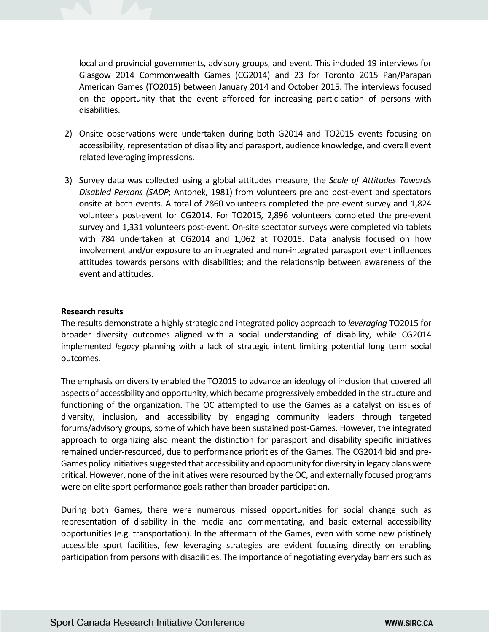local and provincial governments, advisory groups, and event. This included 19 interviews for Glasgow 2014 Commonwealth Games (CG2014) and 23 for Toronto 2015 Pan/Parapan American Games (TO2015) between January 2014 and October 2015. The interviews focused on the opportunity that the event afforded for increasing participation of persons with disabilities.

- 2) Onsite observations were undertaken during both G2014 and TO2015 events focusing on accessibility, representation of disability and parasport, audience knowledge, and overall event related leveraging impressions.
- 3) Survey data was collected using a global attitudes measure, the *Scale of Attitudes Towards Disabled Persons (SADP*; Antonek, 1981) from volunteers pre and post-event and spectators onsite at both events. A total of 2860 volunteers completed the pre-event survey and 1,824 volunteers post-event for CG2014. For TO2015*,* 2,896 volunteers completed the pre-event survey and 1,331 volunteers post-event. On-site spectator surveys were completed via tablets with 784 undertaken at CG2014 and 1,062 at TO2015. Data analysis focused on how involvement and/or exposure to an integrated and non-integrated parasport event influences attitudes towards persons with disabilities; and the relationship between awareness of the event and attitudes.

## **Research results**

The results demonstrate a highly strategic and integrated policy approach to *leveraging* TO2015 for broader diversity outcomes aligned with a social understanding of disability, while CG2014 implemented *legacy* planning with a lack of strategic intent limiting potential long term social outcomes.

The emphasis on diversity enabled the TO2015 to advance an ideology of inclusion that covered all aspects of accessibility and opportunity, which became progressively embedded in the structure and functioning of the organization. The OC attempted to use the Games as a catalyst on issues of diversity, inclusion, and accessibility by engaging community leaders through targeted forums/advisory groups, some of which have been sustained post-Games. However, the integrated approach to organizing also meant the distinction for parasport and disability specific initiatives remained under-resourced, due to performance priorities of the Games. The CG2014 bid and pre-Games policy initiatives suggested that accessibility and opportunity for diversity in legacy plans were critical. However, none of the initiatives were resourced by the OC, and externally focused programs were on elite sport performance goals rather than broader participation.

During both Games, there were numerous missed opportunities for social change such as representation of disability in the media and commentating, and basic external accessibility opportunities (e.g. transportation). In the aftermath of the Games, even with some new pristinely accessible sport facilities, few leveraging strategies are evident focusing directly on enabling participation from persons with disabilities. The importance of negotiating everyday barriers such as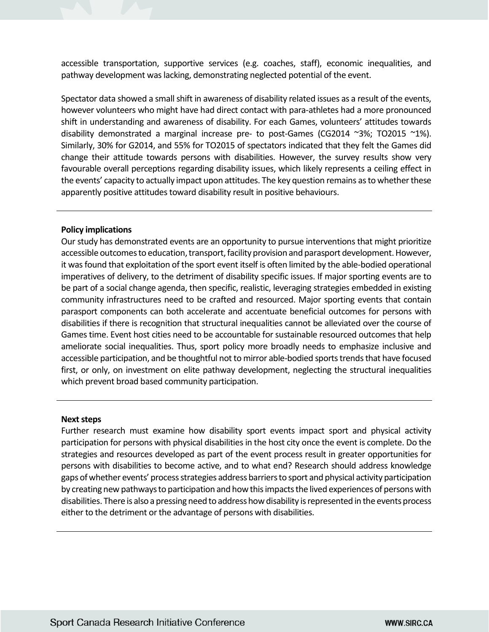accessible transportation, supportive services (e.g. coaches, staff), economic inequalities, and pathway development was lacking, demonstrating neglected potential of the event.

Spectator data showed a small shift in awareness of disability related issues as a result of the events, however volunteers who might have had direct contact with para-athletes had a more pronounced shift in understanding and awareness of disability. For each Games, volunteers' attitudes towards disability demonstrated a marginal increase pre- to post-Games (CG2014  $\sim$ 3%; TO2015  $\sim$ 1%). Similarly, 30% for G2014, and 55% for TO2015 of spectators indicated that they felt the Games did change their attitude towards persons with disabilities. However, the survey results show very favourable overall perceptions regarding disability issues, which likely represents a ceiling effect in the events' capacity to actually impact upon attitudes. The key question remains as to whether these apparently positive attitudes toward disability result in positive behaviours.

### **Policy implications**

Our study has demonstrated events are an opportunity to pursue interventions that might prioritize accessible outcomes to education, transport, facility provision and parasport development. However, it wasfound that exploitation of the sport event itself is often limited by the able-bodied operational imperatives of delivery, to the detriment of disability specific issues. If major sporting events are to be part of a social change agenda, then specific, realistic, leveraging strategies embedded in existing community infrastructures need to be crafted and resourced. Major sporting events that contain parasport components can both accelerate and accentuate beneficial outcomes for persons with disabilities if there is recognition that structural inequalities cannot be alleviated over the course of Games time. Event host cities need to be accountable for sustainable resourced outcomes that help ameliorate social inequalities. Thus, sport policy more broadly needs to emphasize inclusive and accessible participation, and be thoughtful not to mirror able-bodied sports trends that have focused first, or only, on investment on elite pathway development, neglecting the structural inequalities which prevent broad based community participation.

#### **Next steps**

Further research must examine how disability sport events impact sport and physical activity participation for persons with physical disabilities in the host city once the event is complete. Do the strategies and resources developed as part of the event process result in greater opportunities for persons with disabilities to become active, and to what end? Research should address knowledge gaps of whether events' process strategies address barriers to sport and physical activity participation by creating new pathways to participation and how this impacts the lived experiences of persons with disabilities. There is also a pressing need to address how disability is represented in the events process either to the detriment or the advantage of persons with disabilities.